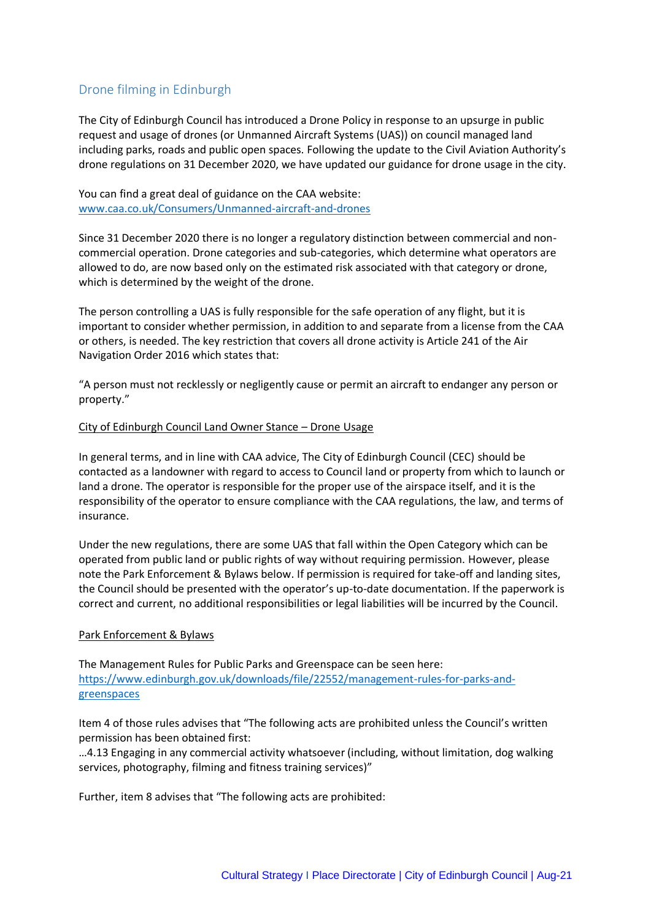# Drone filming in Edinburgh

The City of Edinburgh Council has introduced a Drone Policy in response to an upsurge in public request and usage of drones (or Unmanned Aircraft Systems (UAS)) on council managed land including parks, roads and public open spaces. Following the update to the Civil Aviation Authority's drone regulations on 31 December 2020, we have updated our guidance for drone usage in the city.

You can find a great deal of guidance on the CAA website: [www.caa.co.uk/Consumers/Unmanned-aircraft-and-drones](http://www.caa.co.uk/Consumers/Unmanned-aircraft-and-drones)

Since 31 December 2020 there is no longer a regulatory distinction between commercial and noncommercial operation. Drone categories and sub-categories, which determine what operators are allowed to do, are now based only on the estimated risk associated with that category or drone, which is determined by the weight of the drone.

The person controlling a UAS is fully responsible for the safe operation of any flight, but it is important to consider whether permission, in addition to and separate from a license from the CAA or others, is needed. The key restriction that covers all drone activity is Article 241 of the Air Navigation Order 2016 which states that:

"A person must not recklessly or negligently cause or permit an aircraft to endanger any person or property."

#### City of Edinburgh Council Land Owner Stance – Drone Usage

In general terms, and in line with CAA advice, The City of Edinburgh Council (CEC) should be contacted as a landowner with regard to access to Council land or property from which to launch or land a drone. The operator is responsible for the proper use of the airspace itself, and it is the responsibility of the operator to ensure compliance with the CAA regulations, the law, and terms of insurance.

Under the new regulations, there are some UAS that fall within the Open Category which can be operated from public land or public rights of way without requiring permission. However, please note the Park Enforcement & Bylaws below. If permission is required for take-off and landing sites, the Council should be presented with the operator's up-to-date documentation. If the paperwork is correct and current, no additional responsibilities or legal liabilities will be incurred by the Council.

## Park Enforcement & Bylaws

The Management Rules for Public Parks and Greenspace can be seen here: [https://www.edinburgh.gov.uk/downloads/file/22552/management-rules-for-parks-and](https://www.edinburgh.gov.uk/downloads/file/22552/management-rules-for-parks-and-greenspaces)[greenspaces](https://www.edinburgh.gov.uk/downloads/file/22552/management-rules-for-parks-and-greenspaces)

Item 4 of those rules advises that "The following acts are prohibited unless the Council's written permission has been obtained first:

…4.13 Engaging in any commercial activity whatsoever (including, without limitation, dog walking services, photography, filming and fitness training services)"

Further, item 8 advises that "The following acts are prohibited: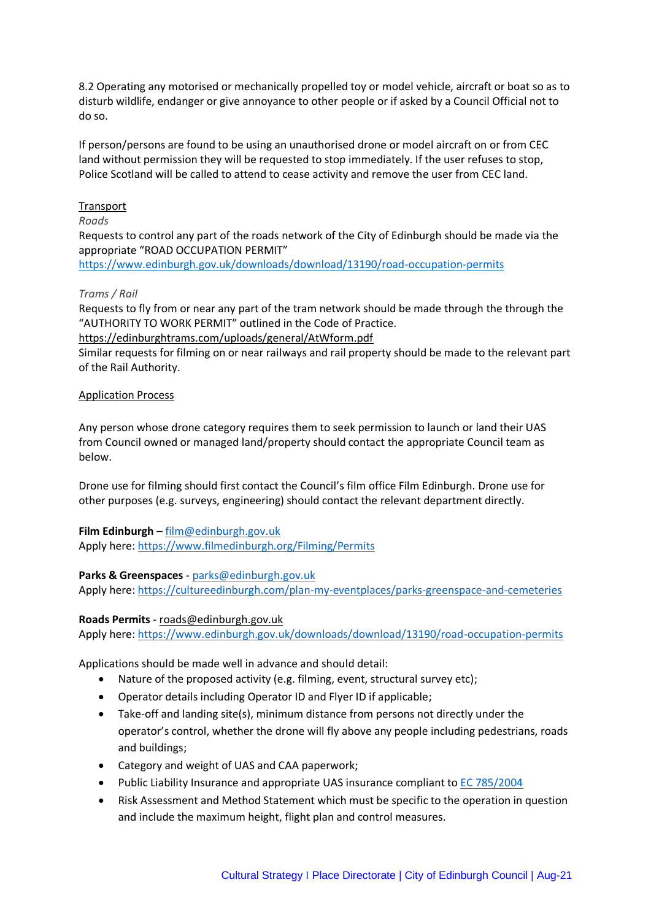8.2 Operating any motorised or mechanically propelled toy or model vehicle, aircraft or boat so as to disturb wildlife, endanger or give annoyance to other people or if asked by a Council Official not to do so.

If person/persons are found to be using an unauthorised drone or model aircraft on or from CEC land without permission they will be requested to stop immediately. If the user refuses to stop, Police Scotland will be called to attend to cease activity and remove the user from CEC land.

### Transport

#### *Roads*

Requests to control any part of the roads network of the City of Edinburgh should be made via the appropriate "ROAD OCCUPATION PERMIT"

<https://www.edinburgh.gov.uk/downloads/download/13190/road-occupation-permits>

#### *Trams / Rail*

Requests to fly from or near any part of the tram network should be made through the through the "AUTHORITY TO WORK PERMIT" outlined in the Code of Practice.

<https://edinburghtrams.com/uploads/general/AtWform.pdf>

Similar requests for filming on or near railways and rail property should be made to the relevant part of the Rail Authority.

#### Application Process

Any person whose drone category requires them to seek permission to launch or land their UAS from Council owned or managed land/property should contact the appropriate Council team as below.

Drone use for filming should first contact the Council's film office Film Edinburgh. Drone use for other purposes (e.g. surveys, engineering) should contact the relevant department directly.

## **Film Edinburgh** – [film@edinburgh.gov.uk](mailto:film@edinburgh.gov.uk)

Apply here:<https://www.filmedinburgh.org/Filming/Permits>

## **Parks & Greenspaces** - [parks@edinburgh.gov.uk](mailto:parks@edinburgh.gov.uk)

Apply here:<https://cultureedinburgh.com/plan-my-eventplaces/parks-greenspace-and-cemeteries>

#### **Roads Permits** - [roads@edinburgh.gov.uk](mailto:roads@edinburgh.gov.uk)

Apply here:<https://www.edinburgh.gov.uk/downloads/download/13190/road-occupation-permits>

Applications should be made well in advance and should detail:

- Nature of the proposed activity (e.g. filming, event, structural survey etc);
- Operator details including Operator ID and Flyer ID if applicable;
- Take-off and landing site(s), minimum distance from persons not directly under the operator's control, whether the drone will fly above any people including pedestrians, roads and buildings;
- Category and weight of UAS and CAA paperwork;
- Public Liability Insurance and appropriate UAS insurance compliant to [EC 785/2004](https://www.caa.co.uk/Commercial-industry/Aircraft/Operations/Insurance/Aircraft-insurance/)
- Risk Assessment and Method Statement which must be specific to the operation in question and include the maximum height, flight plan and control measures.